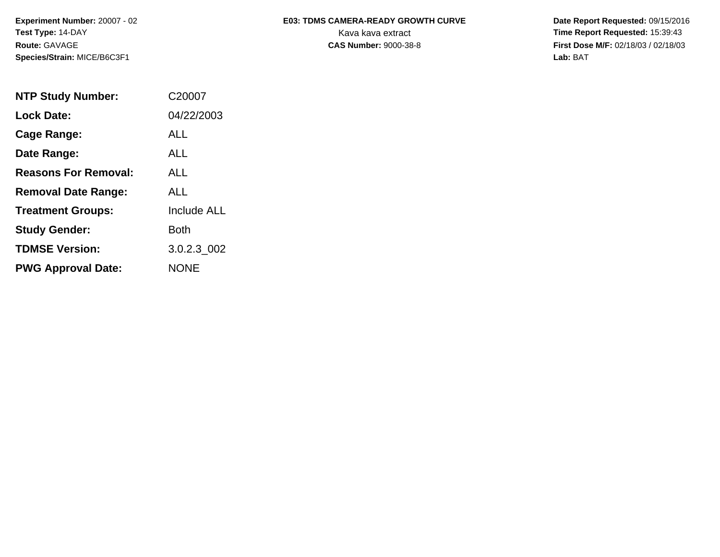**Species/Strain:** MICE/B6C3F1 **Lab:** BAT

## Experiment Number: 20007 - 02 **E03: TDMS CAMERA-READY GROWTH CURVE** Date Report Requested: 09/15/2016 **Test Type: 14-DAY The Report Requested: 15:39:43 Kava kava extract <b>Time Report Requested: 15:39:43**

**Route:** GAVAGE **CAS Number:** 9000-38-8 **First Dose M/F:** 02/18/03 / 02/18/03

| <b>NTP Study Number:</b>    | C20007             |
|-----------------------------|--------------------|
| <b>Lock Date:</b>           | 04/22/2003         |
| Cage Range:                 | ALL.               |
| Date Range:                 | ALL                |
| <b>Reasons For Removal:</b> | ALL.               |
| <b>Removal Date Range:</b>  | ALL                |
| <b>Treatment Groups:</b>    | <b>Include ALL</b> |
| <b>Study Gender:</b>        | Both               |
| <b>TDMSE Version:</b>       | 3.0.2.3 002        |
| <b>PWG Approval Date:</b>   | <b>NONE</b>        |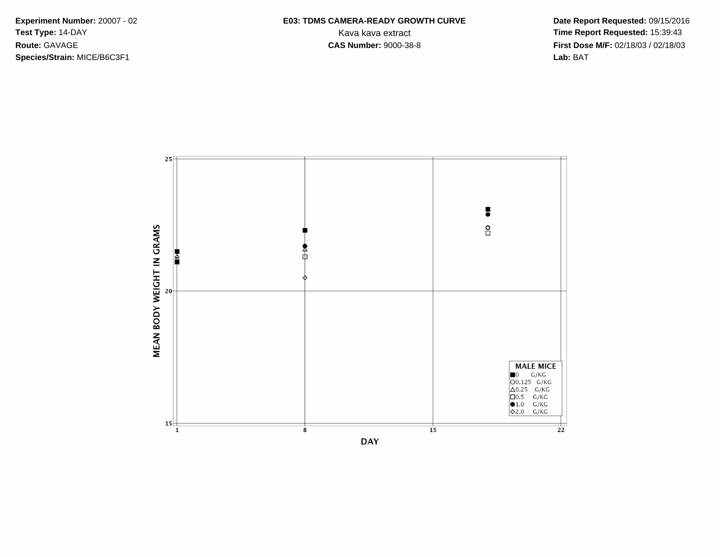**Species/Strain:** MICE/B6C3F1 **Lab:** BAT